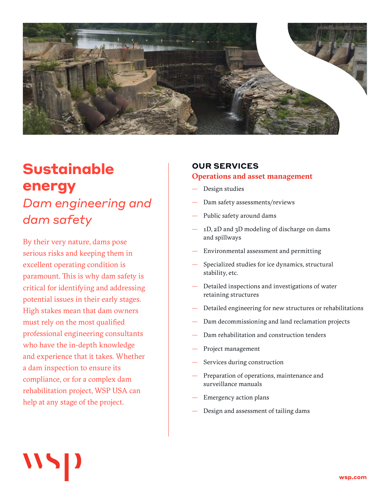

# **Sustainable energy** *Dam engineering and dam safety*

By their very nature, dams pose serious risks and keeping them in excellent operating condition is paramount. This is why dam safety is critical for identifying and addressing potential issues in their early stages. High stakes mean that dam owners must rely on the most qualified professional engineering consultants who have the in-depth knowledge and experience that it takes. Whether a dam inspection to ensure its compliance, or for a complex dam rehabilitation project, WSP USA can help at any stage of the project.

# **OUR SERVICES**

#### **Operations and asset management**

- Design studies
- Dam safety assessments/reviews
- Public safety around dams
- 1D, 2D and 3D modeling of discharge on dams and spillways
- Environmental assessment and permitting
- Specialized studies for ice dynamics, structural stability, etc.
- Detailed inspections and investigations of water retaining structures
- Detailed engineering for new structures or rehabilitations
- Dam decommissioning and land reclamation projects
- Dam rehabilitation and construction tenders
- Project management
- Services during construction
- Preparation of operations, maintenance and surveillance manuals
- Emergency action plans
- Design and assessment of tailing dams